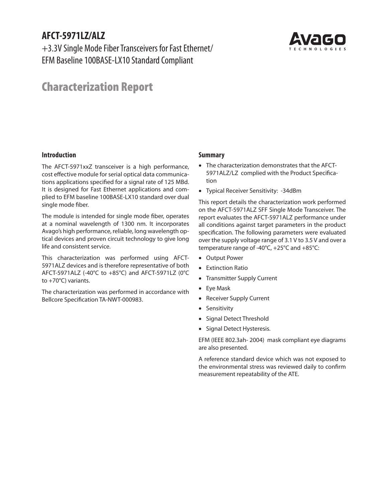# **AFCT-5971LZ/ALZ**

+3.3V Single Mode Fiber Transceivers for Fast Ethernet/ EFM Baseline 100BASE-LX10 Standard Compliant



# Characterization Report

#### **Introduction**

The AFCT-5971xxZ transceiver is a high performance, cost effective module for serial optical data communications applications specified for a signal rate of 125 MBd. It is designed for Fast Ethernet applications and complied to EFM baseline 100BASE-LX10 standard over dual single mode fiber.

The module is intended for single mode fiber, operates at a nominal wavelength of 1300 nm. It incorporates Avago's high performance, reliable, long wavelength optical devices and proven circuit technology to give long life and consistent service.

This characterization was performed using AFCT-5971ALZ devices and is therefore representative of both AFCT-5971ALZ (-40°C to +85°C) and AFCT-5971LZ (0°C to +70°C) variants.

The characterization was performed in accordance with Bellcore Specification TA-NWT-000983.

#### **Summary**

- The characterization demonstrates that the AFCT-5971ALZ/LZ complied with the Product Specification
- Typical Receiver Sensitivity: -34dBm

This report details the characterization work performed on the AFCT-5971ALZ SFF Single Mode Transceiver. The report evaluates the AFCT-5971ALZ performance under all conditions against target parameters in the product specification. The following parameters were evaluated over the supply voltage range of 3.1 V to 3.5 V and over a temperature range of -40°C, +25°C and +85°C:

- Output Power
- Extinction Ratio
- Transmitter Supply Current
- Eye Mask
- Receiver Supply Current
- Sensitivity
- Signal Detect Threshold
- Signal Detect Hysteresis.

EFM (IEEE 802.3ah- 2004) mask compliant eye diagrams are also presented.

A reference standard device which was not exposed to the environmental stress was reviewed daily to confirm measurement repeatability of the ATE.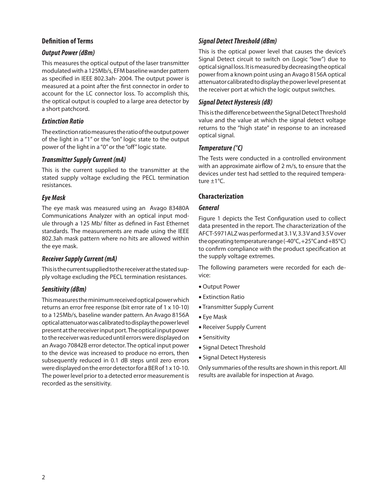#### **Definition of Terms**

#### *Output Power (dBm)*

This measures the optical output of the laser transmitter modulated with a 125Mb/s, EFM baseline wander pattern as specified in IEEE 802.3ah- 2004. The output power is measured at a point after the first connector in order to account for the LC connector loss. To accomplish this, the optical output is coupled to a large area detector by a short patchcord.

#### *Extinction Ratio*

The extinction ratio measures the ratio of the output power of the light in a "1" or the "on" logic state to the output power of the light in a "0" or the "off" logic state.

#### *Transmitter Supply Current (mA)*

This is the current supplied to the transmitter at the stated supply voltage excluding the PECL termination resistances.

#### *Eye Mask*

The eye mask was measured using an Avago 83480A Communications Analyzer with an optical input module through a 125 Mb/ filter as defined in Fast Ethernet standards. The measurements are made using the IEEE 802.3ah mask pattern where no hits are allowed within the eye mask.

#### *Receiver Supply Current (mA)*

This is the current supplied to the receiver at the stated supply voltage excluding the PECL termination resistances.

#### *Sensitivity (dBm)*

This measures the minimum received optical power which returns an error free response (bit error rate of 1 x 10-10) to a 125Mb/s, baseline wander pattern. An Avago 8156A optical attenuator was calibrated to display the power level present at the receiver input port. The optical input power to the receiver was reduced until errors were displayed on an Avago 70842B error detector. The optical input power to the device was increased to produce no errors, then subsequently reduced in 0.1 dB steps until zero errors were displayed on the error detector for a BER of 1 x 10-10. The power level prior to a detected error measurement is recorded as the sensitivity.

### *Signal Detect Threshold (dBm)*

This is the optical power level that causes the device's Signal Detect circuit to switch on (Logic "low") due to optical signal loss. It is measured by decreasing the optical power from a known point using an Avago 8156A optical attenuator calibrated to display the power level present at the receiver port at which the logic output switches.

#### *Signal Detect Hysteresis (dB)*

This is the difference between the Signal Detect Threshold value and the value at which the signal detect voltage returns to the "high state" in response to an increased optical signal.

#### *Temperature (°C)*

The Tests were conducted in a controlled environment with an approximate airflow of 2 m/s, to ensure that the devices under test had settled to the required temperature ±1°C.

#### **Characterization**

#### *General*

Figure 1 depicts the Test Configuration used to collect data presented in the report. The characterization of the AFCT-5971ALZ was performed at 3.1 V, 3.3 V and 3.5 V over the operating temperature range (-40°C, +25°C and +85°C) to confirm compliance with the product specification at the supply voltage extremes.

The following parameters were recorded for each device:

- Output Power
- Extinction Ratio
- Transmitter Supply Current
- Eye Mask
- Receiver Supply Current
- Sensitivity
- Signal Detect Threshold
- Signal Detect Hysteresis

Only summaries of the results are shown in this report. All results are available for inspection at Avago.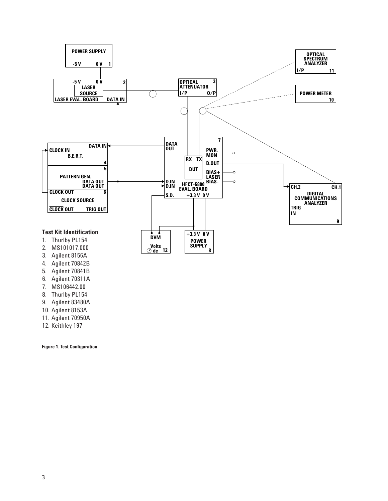

- 5. Agilent 70841B
- 6. Agilent 70311A
- 7. MS106442.00
- 8. Thurlby PL154
- 9. Agilent 83480A
- 10. Agilent 8153A
- 
- 11. Agilent 70950A
- 12. Keithley 197

**Figure 1. Test Configuration**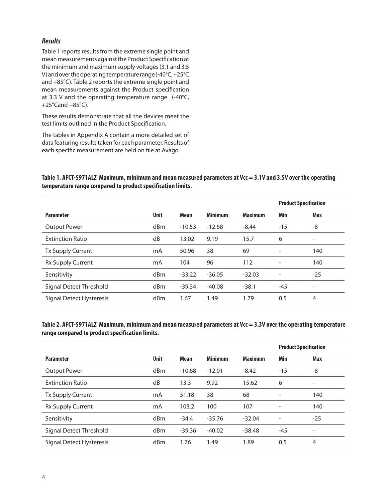#### *Results*

Table 1 reports results from the extreme single point and mean measurements against the Product Specification at the minimum and maximum supply voltages (3.1 and 3.5 V) and over the operating temperature range (-40°C, +25°C and +85°C). Table 2 reports the extreme single point and mean measurements against the Product specification at 3.3 V and the operating temperature range  $(-40^{\circ}C,$ +25°Cand +85°C).

These results demonstrate that all the devices meet the test limits outlined in the Product Specification.

The tables in Appendix A contain a more detailed set of data featuring results taken for each parameter. Results of each specific measurement are held on file at Avago.

#### **Table 1. AFCT-5971ALZ Maximum, minimum and mean measured parameters at Vcc = 3.1V and 3.5V over the operating temperature range compared to product specification limits.**

|                          |             |             |                |                | <b>Product Specification</b> |            |
|--------------------------|-------------|-------------|----------------|----------------|------------------------------|------------|
| <b>Parameter</b>         | <b>Unit</b> | <b>Mean</b> | <b>Minimum</b> | <b>Maximum</b> | Min                          | <b>Max</b> |
| <b>Output Power</b>      | dBm         | $-10.53$    | $-12.68$       | $-8.44$        | $-15$                        | -8         |
| <b>Extinction Ratio</b>  | dB          | 13.02       | 9.19           | 15.7           | 6                            | ۰          |
| Tx Supply Current        | mA          | 50.96       | 38             | 69             | ٠                            | 140        |
| Rx Supply Current        | mA          | 104         | 96             | 112            | $\overline{\phantom{a}}$     | 140        |
| Sensitivity              | dBm         | $-33.22$    | $-36.05$       | $-32.03$       | $\overline{\phantom{a}}$     | $-25$      |
| Signal Detect Threshold  | dBm         | $-39.34$    | $-40.08$       | $-38.1$        | $-45$                        | ۰          |
| Signal Detect Hysteresis | dBm         | 1.67        | 1.49           | 1.79           | 0.5                          | 4          |

#### **Table 2. AFCT-5971ALZ Maximum, minimum and mean measured parameters at Vcc = 3.3V over the operating temperature range compared to product specification limits.**

|                          |             |          |                |                | <b>Product Specification</b> |       |
|--------------------------|-------------|----------|----------------|----------------|------------------------------|-------|
| <b>Parameter</b>         | <b>Unit</b> | Mean     | <b>Minimum</b> | <b>Maximum</b> | Min                          | Max   |
| <b>Output Power</b>      | dBm         | $-10.68$ | $-12.01$       | $-8.42$        | $-15$                        | -8    |
| <b>Extinction Ratio</b>  | dB          | 13.3     | 9.92           | 15.62          | 6                            | -     |
| Tx Supply Current        | mA          | 51.18    | 38             | 68             | $\overline{\phantom{a}}$     | 140   |
| Rx Supply Current        | mA          | 103.2    | 100            | 107            | ٠                            | 140   |
| Sensitivity              | dBm         | $-34.4$  | $-35.76$       | $-32.04$       | $\overline{\phantom{a}}$     | $-25$ |
| Signal Detect Threshold  | dBm         | $-39.36$ | $-40.02$       | $-38.48$       | $-45$                        | -     |
| Signal Detect Hysteresis | dBm         | 1.76     | 1.49           | 1.89           | 0.5                          | 4     |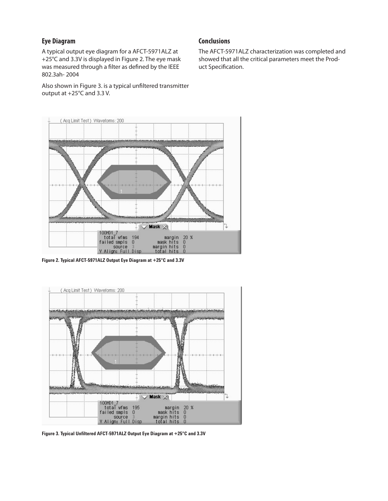#### **Eye Diagram**

A typical output eye diagram for a AFCT-5971ALZ at +25°C and 3.3V is displayed in Figure 2. The eye mask was measured through a filter as defined by the IEEE 802.3ah- 2004

Also shown in Figure 3. is a typical unfiltered transmitter output at +25°C and 3.3 V.

#### **Conclusions**

The AFCT-5971ALZ characterization was completed and showed that all the critical parameters meet the Product Specification.



**Figure 2. Typical AFCT-5971ALZ Output Eye Diagram at +25°C and 3.3V**



**Figure 3. Typical Unfiltered AFCT-5971ALZ Output Eye Diagram at +25°C and 3.3V**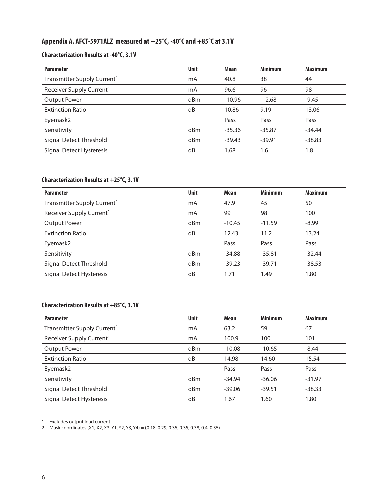# **Appendix A. AFCT-5971ALZ measured at +25°C, -40°C and +85°C at 3.1V**

# **Characterization Results at -40°C, 3.1V**

| <b>Parameter</b>                        | <b>Unit</b> | Mean     | <b>Minimum</b> | <b>Maximum</b> |
|-----------------------------------------|-------------|----------|----------------|----------------|
| Transmitter Supply Current <sup>1</sup> | mA          | 40.8     | 38             | 44             |
| Receiver Supply Current <sup>1</sup>    | mA          | 96.6     | 96             | 98             |
| <b>Output Power</b>                     | dBm         | $-10.96$ | $-12.68$       | $-9.45$        |
| <b>Extinction Ratio</b>                 | dB          | 10.86    | 9.19           | 13.06          |
| Eyemask2                                |             | Pass     | Pass           | Pass           |
| Sensitivity                             | dBm         | $-35.36$ | $-35.87$       | $-34.44$       |
| Signal Detect Threshold                 | dBm         | $-39.43$ | $-39.91$       | $-38.83$       |
| Signal Detect Hysteresis                | dB          | 1.68     | 1.6            | 1.8            |

## **Characterization Results at +25°C, 3.1V**

| <b>Parameter</b>                        | <b>Unit</b>     | <b>Mean</b> | <b>Minimum</b> | <b>Maximum</b> |
|-----------------------------------------|-----------------|-------------|----------------|----------------|
| Transmitter Supply Current <sup>1</sup> | mA              | 47.9        | 45             | 50             |
| Receiver Supply Current <sup>1</sup>    | mA              | 99          | 98             | 100            |
| <b>Output Power</b>                     | dBm             | $-10.45$    | $-11.59$       | $-8.99$        |
| <b>Extinction Ratio</b>                 | dB              | 12.43       | 11.2           | 13.24          |
| Eyemask2                                |                 | Pass        | Pass           | Pass           |
| Sensitivity                             | d <sub>Bm</sub> | $-34.88$    | $-35.81$       | $-32.44$       |
| Signal Detect Threshold                 | d <sub>Bm</sub> | $-39.23$    | $-39.71$       | $-38.53$       |
| Signal Detect Hysteresis                | dB              | 1.71        | 1.49           | 1.80           |

## **Characterization Results at +85°C, 3.1V**

| <b>Parameter</b>                        | <b>Unit</b>     | <b>Mean</b> | <b>Minimum</b> | <b>Maximum</b> |
|-----------------------------------------|-----------------|-------------|----------------|----------------|
| Transmitter Supply Current <sup>1</sup> | mA              | 63.2        | 59             | 67             |
| Receiver Supply Current <sup>1</sup>    | mA              | 100.9       | 100            | 101            |
| <b>Output Power</b>                     | d <sub>Bm</sub> | $-10.08$    | $-10.65$       | $-8.44$        |
| <b>Extinction Ratio</b>                 | dB              | 14.98       | 14.60          | 15.54          |
| Eyemask2                                |                 | Pass        | Pass           | Pass           |
| Sensitivity                             | d <sub>Bm</sub> | $-34.94$    | $-36.06$       | $-31.97$       |
| Signal Detect Threshold                 | d <sub>Bm</sub> | $-39.06$    | $-39.51$       | $-38.33$       |
| Signal Detect Hysteresis                | dB              | 1.67        | 1.60           | 1.80           |

1. Excludes output load current

2. Mask coordinates (X1, X2, X3, Y1, Y2, Y3, Y4) = (0.18, 0.29, 0.35, 0.35, 0.38, 0.4, 0.55)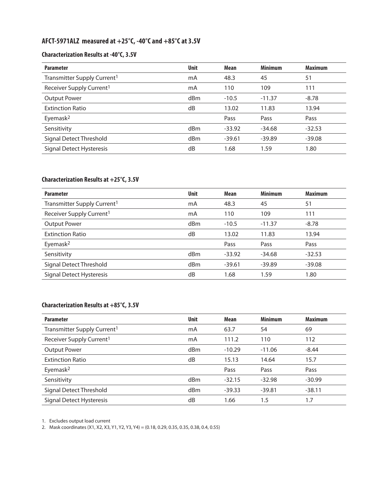# **AFCT-5971ALZ measured at +25°C, -40°C and +85°C at 3.5V**

# **Characterization Results at -40°C, 3.5V**

| <b>Unit</b> | <b>Mean</b> | <b>Minimum</b> | <b>Maximum</b> |
|-------------|-------------|----------------|----------------|
| mA          | 48.3        | 45             | 51             |
| mA          | 110         | 109            | 111            |
| dBm         | $-10.5$     | $-11.37$       | $-8.78$        |
| dB          | 13.02       | 11.83          | 13.94          |
|             | Pass        | Pass           | Pass           |
| dBm         | $-33.92$    | $-34.68$       | $-32.53$       |
| dBm         | $-39.61$    | $-39.89$       | $-39.08$       |
| dB          | 1.68        | 1.59           | 1.80           |
|             |             |                |                |

# **Characterization Results at +25°C, 3.5V**

| <b>Parameter</b>                        | <b>Unit</b>     | <b>Mean</b> | <b>Minimum</b> | <b>Maximum</b> |
|-----------------------------------------|-----------------|-------------|----------------|----------------|
| Transmitter Supply Current <sup>1</sup> | mA              | 48.3        | 45             | 51             |
| Receiver Supply Current <sup>1</sup>    | mA              | 110         | 109            | 111            |
| <b>Output Power</b>                     | dBm             | $-10.5$     | $-11.37$       | $-8.78$        |
| <b>Extinction Ratio</b>                 | dB              | 13.02       | 11.83          | 13.94          |
| Eyemask <sup>2</sup>                    |                 | Pass        | Pass           | Pass           |
| Sensitivity                             | d <sub>Bm</sub> | $-33.92$    | $-34.68$       | $-32.53$       |
| Signal Detect Threshold                 | d <sub>Bm</sub> | $-39.61$    | $-39.89$       | $-39.08$       |
| Signal Detect Hysteresis                | dB              | 1.68        | 1.59           | 1.80           |

# **Characterization Results at +85°C, 3.5V**

| <b>Parameter</b>                        | <b>Unit</b>     | <b>Mean</b> | <b>Minimum</b> | <b>Maximum</b> |
|-----------------------------------------|-----------------|-------------|----------------|----------------|
| Transmitter Supply Current <sup>1</sup> | mA              | 63.7        | 54             | 69             |
| Receiver Supply Current <sup>1</sup>    | mA              | 111.2       | 110            | 112            |
| <b>Output Power</b>                     | d <sub>Bm</sub> | $-10.29$    | $-11.06$       | $-8.44$        |
| <b>Extinction Ratio</b>                 | dB              | 15.13       | 14.64          | 15.7           |
| Eyemask <sup>2</sup>                    |                 | Pass        | Pass           | Pass           |
| Sensitivity                             | d <sub>Bm</sub> | $-32.15$    | $-32.98$       | $-30.99$       |
| Signal Detect Threshold                 | d <sub>Bm</sub> | $-39.33$    | $-39.81$       | $-38.11$       |
| Signal Detect Hysteresis                | dB              | 1.66        | 1.5            | 1.7            |

1. Excludes output load current

2. Mask coordinates (X1, X2, X3, Y1, Y2, Y3, Y4) = (0.18, 0.29, 0.35, 0.35, 0.38, 0.4, 0.55)